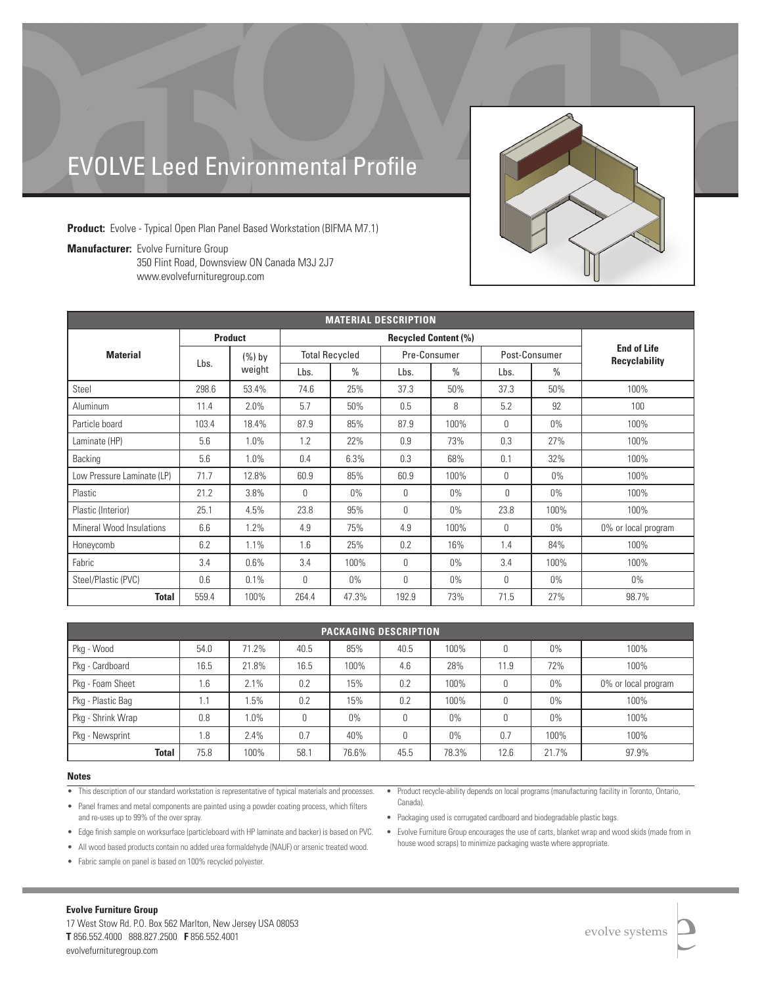# EVOLVE Leed Environmental Profile

**Product:** Evolve - Typical Open Plan Panel Based Workstation (BIFMA M7.1)

**Manufacturer:** Evolve Furniture Group 350 Flint Road, Downsview ON Canada M3J 2J7 www.evolvefurnituregroup.com

| <b>MATERIAL DESCRIPTION</b> |                |                     |                             |               |              |               |               |               |                                            |
|-----------------------------|----------------|---------------------|-----------------------------|---------------|--------------|---------------|---------------|---------------|--------------------------------------------|
|                             | <b>Product</b> |                     | <b>Recycled Content (%)</b> |               |              |               |               |               |                                            |
| <b>Material</b>             | Lbs.           | $(\%)$ by<br>weight | <b>Total Recycled</b>       |               | Pre-Consumer |               | Post-Consumer |               | <b>End of Life</b><br><b>Recyclability</b> |
|                             |                |                     | Lbs.                        | $\frac{0}{0}$ | Lbs.         | $\frac{0}{0}$ | Lbs.          | $\frac{0}{0}$ |                                            |
| Steel                       | 298.6          | 53.4%               | 74.6                        | 25%           | 37.3         | 50%           | 37.3          | 50%           | 100%                                       |
| Aluminum                    | 11.4           | 2.0%                | 5.7                         | 50%           | 0.5          | 8             | 5.2           | 92            | 100                                        |
| Particle board              | 103.4          | 18.4%               | 87.9                        | 85%           | 87.9         | 100%          | $\theta$      | $0\%$         | 100%                                       |
| Laminate (HP)               | 5.6            | 1.0%                | 1.2                         | 22%           | 0.9          | 73%           | 0.3           | 27%           | 100%                                       |
| Backing                     | 5.6            | 1.0%                | 0.4                         | 6.3%          | 0.3          | 68%           | 0.1           | 32%           | 100%                                       |
| Low Pressure Laminate (LP)  | 71.7           | 12.8%               | 60.9                        | 85%           | 60.9         | 100%          | $\theta$      | $0\%$         | 100%                                       |
| Plastic                     | 21.2           | 3.8%                | $\mathbf{0}$                | $0\%$         | $\Omega$     | $0\%$         | $\bigcap$     | $0\%$         | 100%                                       |
| Plastic (Interior)          | 25.1           | 4.5%                | 23.8                        | 95%           | 0            | $0\%$         | 23.8          | 100%          | 100%                                       |
| Mineral Wood Insulations    | 6.6            | 1.2%                | 4.9                         | 75%           | 4.9          | 100%          | $\theta$      | $0\%$         | 0% or local program                        |
| Honeycomb                   | 6.2            | 1.1%                | 1.6                         | 25%           | 0.2          | 16%           | 1.4           | 84%           | 100%                                       |
| Fabric                      | 3.4            | 0.6%                | 3.4                         | 100%          | 0            | $0\%$         | 3.4           | 100%          | 100%                                       |
| Steel/Plastic (PVC)         | 0.6            | 0.1%                | $\mathbf{0}$                | $0\%$         | 0            | $0\%$         | $\theta$      | $0\%$         | $0\%$                                      |
| Total                       | 559.4          | 100%                | 264.4                       | 47.3%         | 192.9        | 73%           | 71.5          | 27%           | 98.7%                                      |

| <b>PACKAGING DESCRIPTION</b> |      |         |      |       |      |       |      |       |                     |
|------------------------------|------|---------|------|-------|------|-------|------|-------|---------------------|
| Pkg - Wood                   | 54.0 | 71.2%   | 40.5 | 85%   | 40.5 | 100%  | 0    | $0\%$ | 100%                |
| Pkg - Cardboard              | 16.5 | 21.8%   | 16.5 | 100%  | 4.6  | 28%   | 11.9 | 72%   | 100%                |
| Pkg - Foam Sheet             | 1.6  | 2.1%    | 0.2  | 15%   | 0.2  | 100%  | 0    | $0\%$ | 0% or local program |
| Pkg - Plastic Bag            | 1.1  | .5%     | 0.2  | 15%   | 0.2  | 100%  | 0    | $0\%$ | 100%                |
| Pkg - Shrink Wrap            | 0.8  | $1.0\%$ | 0    | $0\%$ | 0    | $0\%$ | 0    | $0\%$ | 100%                |
| Pkg - Newsprint              | 1.8  | 2.4%    | 0.7  | 40%   | 0    | $0\%$ | 0.7  | 100%  | 100%                |
| <b>Total</b>                 | 75.8 | 100%    | 58.1 | 76.6% | 45.5 | 78.3% | 12.6 | 21.7% | 97.9%               |

### **Notes**

- This description of our standard workstation is representative of typical materials and processes.
- Panel frames and metal components are painted using a powder coating process, which filters and re-uses up to 99% of the over spray.
- Edge finish sample on worksurface (particleboard with HP laminate and backer) is based on PVC.
- All wood based products contain no added urea formaldehyde (NAUF) or arsenic treated wood.
- Fabric sample on panel is based on 100% recycled polyester.
- Product recycle-ability depends on local programs (manufacturing facility in Toronto, Ontario, Canada).
- Packaging used is corrugated cardboard and biodegradable plastic bags.
- Evolve Furniture Group encourages the use of carts, blanket wrap and wood skids (made from in house wood scraps) to minimize packaging waste where appropriate.

### **Evolve Furniture Group**

17 West Stow Rd. P.O. Box 562 Marlton, New Jersey USA 08053 **T** 856.552.4000 888.827.2500 **F** 856.552.4001 evolvefurnituregroup.com

evolve systems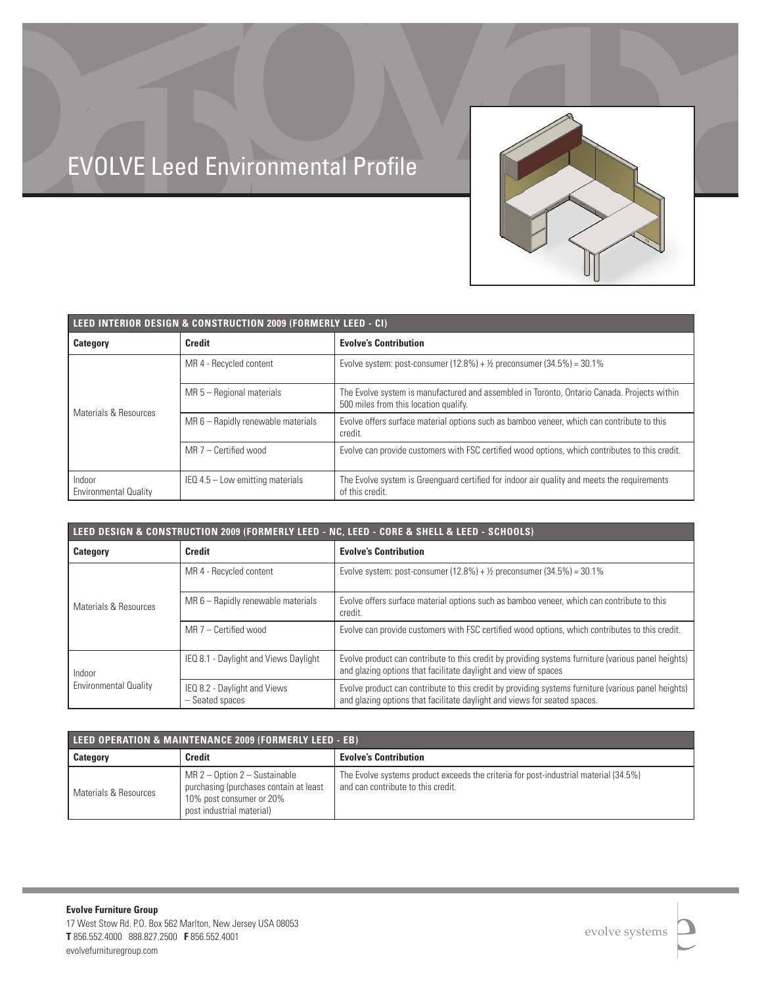

# EVOLVE Leed Environmental Profile

| LEED INTERIOR DESIGN & CONSTRUCTION 2009 (FORMERLY LEED - CI) |                                    |                                                                                                                                      |  |  |  |
|---------------------------------------------------------------|------------------------------------|--------------------------------------------------------------------------------------------------------------------------------------|--|--|--|
| <b>Category</b>                                               | <b>Credit</b>                      | <b>Evolve's Contribution</b>                                                                                                         |  |  |  |
|                                                               | MR 4 - Recycled content            | Evolve system: post-consumer $(12.8\%) + \frac{1}{2}$ preconsumer $(34.5\%) = 30.1\%$                                                |  |  |  |
| Materials & Resources                                         | $MR 5 - Regional materials$        | The Evolve system is manufactured and assembled in Toronto, Ontario Canada. Projects within<br>500 miles from this location qualify. |  |  |  |
|                                                               | MR 6 - Rapidly renewable materials | Evolve offers surface material options such as bamboo veneer, which can contribute to this<br>credit.                                |  |  |  |
|                                                               | $MR$ 7 – Certified wood            | Evolve can provide customers with FSC certified wood options, which contributes to this credit.                                      |  |  |  |
| Indoor<br><b>Environmental Quality</b>                        | $IEQ$ 4.5 – Low emitting materials | The Evolve system is Greenguard certified for indoor air quality and meets the requirements<br>of this credit.                       |  |  |  |

| LEED DESIGN & CONSTRUCTION 2009 (FORMERLY LEED - NC, LEED - CORE & SHELL & LEED - SCHOOLS) |                                                 |                                                                                                                                                                                  |  |  |  |
|--------------------------------------------------------------------------------------------|-------------------------------------------------|----------------------------------------------------------------------------------------------------------------------------------------------------------------------------------|--|--|--|
| Category                                                                                   | <b>Credit</b>                                   | <b>Evolve's Contribution</b>                                                                                                                                                     |  |  |  |
|                                                                                            | MR 4 - Recycled content                         | Evolve system: post-consumer $(12.8\%) + \frac{1}{2}$ preconsumer $(34.5\%) = 30.1\%$                                                                                            |  |  |  |
| Materials & Resources                                                                      | MR 6 - Rapidly renewable materials              | Evolve offers surface material options such as bamboo veneer, which can contribute to this<br>credit.                                                                            |  |  |  |
|                                                                                            | $MR$ 7 – Certified wood                         | Evolve can provide customers with FSC certified wood options, which contributes to this credit.                                                                                  |  |  |  |
| Indoor<br><b>Environmental Quality</b>                                                     | IEQ 8.1 - Daylight and Views Daylight           | Evolve product can contribute to this credit by providing systems furniture (various panel heights)<br>and glazing options that facilitate daylight and view of spaces           |  |  |  |
|                                                                                            | IEQ 8.2 - Daylight and Views<br>- Seated spaces | Evolve product can contribute to this credit by providing systems furniture (various panel heights)<br>and glazing options that facilitate daylight and views for seated spaces. |  |  |  |

| LEED OPERATION & MAINTENANCE 2009 (FORMERLY LEED - EB) |                                                                                                                                    |                                                                                                                            |  |  |  |
|--------------------------------------------------------|------------------------------------------------------------------------------------------------------------------------------------|----------------------------------------------------------------------------------------------------------------------------|--|--|--|
| <b>Category</b>                                        | <b>Credit</b>                                                                                                                      | <b>Evolve's Contribution</b>                                                                                               |  |  |  |
| l Materials & Resources                                | $MR$ 2 – Option 2 – Sustainable<br>purchasing (purchases contain at least<br>10% post consumer or 20%<br>post industrial material) | The Evolve systems product exceeds the criteria for post-industrial material (34.5%)<br>and can contribute to this credit. |  |  |  |